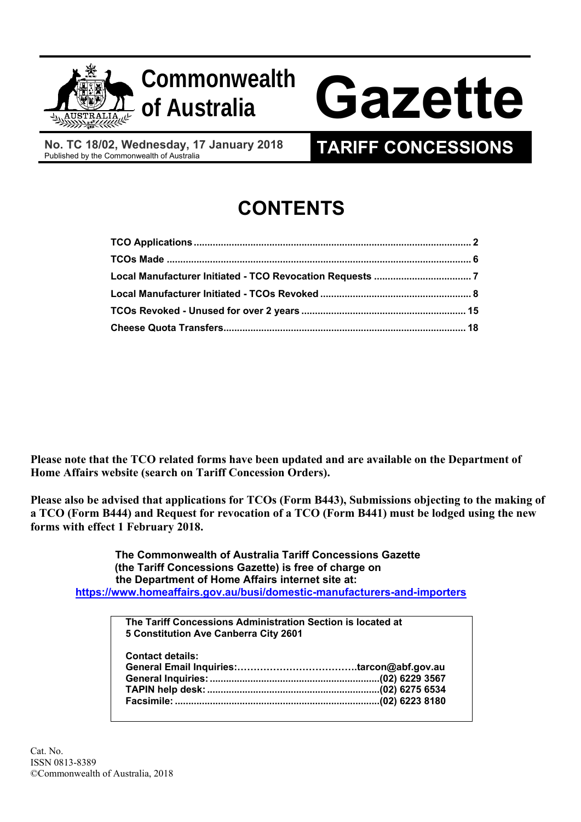

**No. TC 18/02, Wednesday, 17 January 2018** 

# **CONTENTS**

**Please note that the TCO related forms have been updated and are available on the Department of Home Affairs website (search on Tariff Concession Orders).** 

**Please also be advised that applications for TCOs (Form B443), Submissions objecting to the making of a TCO (Form B444) and Request for revocation of a TCO (Form B441) must be lodged using the new forms with effect 1 February 2018.** 

 **https://www.homeaffairs.gov.au/busi/domestic-manufacturers-and-importers The Commonwealth of Australia Tariff Concessions Gazette (the Tariff Concessions Gazette) is free of charge on the Department of Home Affairs internet site at:**

| The Tariff Concessions Administration Section is located at<br>5 Constitution Ave Canberra City 2601 |  |
|------------------------------------------------------------------------------------------------------|--|
| <b>Contact details:</b>                                                                              |  |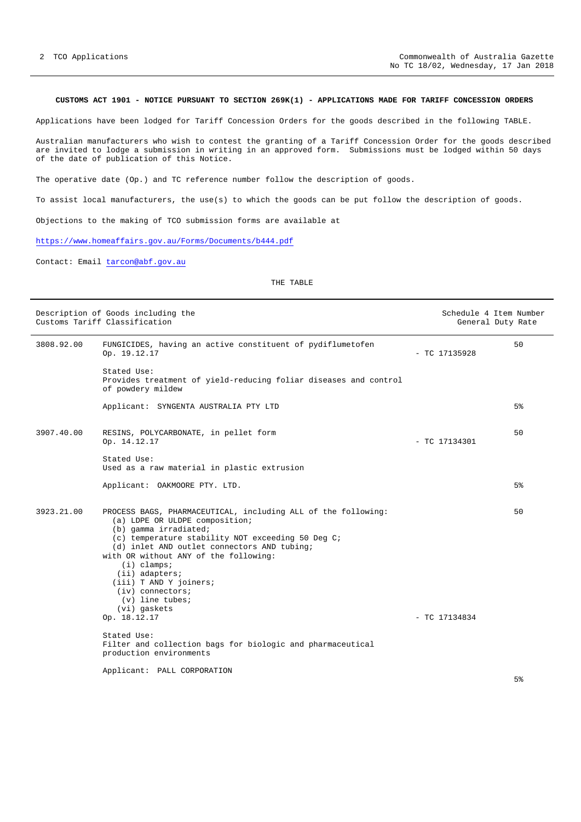# **CUSTOMS ACT 1901 - NOTICE PURSUANT TO SECTION 269K(1) - APPLICATIONS MADE FOR TARIFF CONCESSION ORDERS**

Applications have been lodged for Tariff Concession Orders for the goods described in the following TABLE.

Australian manufacturers who wish to contest the granting of a Tariff Concession Order for the goods described are invited to lodge a submission in writing in an approved form. Submissions must be lodged within 50 days of the date of publication of this Notice.

The operative date (Op.) and TC reference number follow the description of goods.

To assist local manufacturers, the use(s) to which the goods can be put follow the description of goods.

Objections to the making of TCO submission forms are available at

https://www.homeaffairs.gov.au/Forms/Documents/b444.pdf

Contact: Email tarcon@abf.gov.au

# THE TABLE

|            | Description of Goods including the<br>Customs Tariff Classification                                                                                                                                                                                                                                                                                                                                           | Schedule 4 Item Number<br>General Duty Rate |       |
|------------|---------------------------------------------------------------------------------------------------------------------------------------------------------------------------------------------------------------------------------------------------------------------------------------------------------------------------------------------------------------------------------------------------------------|---------------------------------------------|-------|
| 3808.92.00 | FUNGICIDES, having an active constituent of pydiflumetofen<br>Op. 19.12.17                                                                                                                                                                                                                                                                                                                                    | $-$ TC 17135928                             | 50    |
|            | Stated Use:<br>Provides treatment of yield-reducing foliar diseases and control<br>of powdery mildew                                                                                                                                                                                                                                                                                                          |                                             |       |
|            | Applicant: SYNGENTA AUSTRALIA PTY LTD                                                                                                                                                                                                                                                                                                                                                                         |                                             | 5%    |
| 3907.40.00 | RESINS, POLYCARBONATE, in pellet form<br>Op. 14.12.17                                                                                                                                                                                                                                                                                                                                                         | - TC 17134301                               | 50    |
|            | Stated Use:<br>Used as a raw material in plastic extrusion                                                                                                                                                                                                                                                                                                                                                    |                                             |       |
|            | Applicant: OAKMOORE PTY. LTD.                                                                                                                                                                                                                                                                                                                                                                                 |                                             | $5\%$ |
| 3923.21.00 | PROCESS BAGS, PHARMACEUTICAL, including ALL of the following:<br>(a) LDPE OR ULDPE composition;<br>(b) gamma irradiated;<br>(c) temperature stability NOT exceeding 50 Deg C;<br>(d) inlet AND outlet connectors AND tubing;<br>with OR without ANY of the following:<br>$(i)$ clamps;<br>(ii) adapters;<br>(iii) T AND Y joiners;<br>$(iv)$ connectors;<br>$(v)$ line tubes;<br>(vi) gaskets<br>Op. 18.12.17 | $-$ TC 17134834                             | 50    |
|            | Stated Use:<br>Filter and collection bags for biologic and pharmaceutical<br>production environments                                                                                                                                                                                                                                                                                                          |                                             |       |
|            | Applicant: PALL CORPORATION                                                                                                                                                                                                                                                                                                                                                                                   |                                             |       |

5%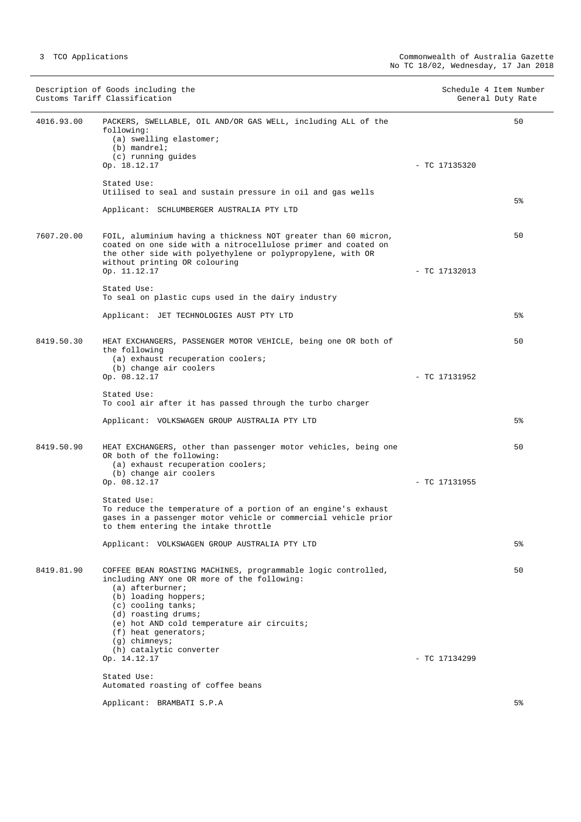|            | Description of Goods including the<br>Customs Tariff Classification                                                                                                                                                                                                                                                             | Schedule 4 Item Number | General Duty Rate |
|------------|---------------------------------------------------------------------------------------------------------------------------------------------------------------------------------------------------------------------------------------------------------------------------------------------------------------------------------|------------------------|-------------------|
| 4016.93.00 | PACKERS, SWELLABLE, OIL AND/OR GAS WELL, including ALL of the<br>following:<br>(a) swelling elastomer;<br>$(b)$ mandrel;<br>(c) running quides<br>Op. 18.12.17                                                                                                                                                                  | $-$ TC 17135320        | 50                |
|            | Stated Use:<br>Utilised to seal and sustain pressure in oil and gas wells                                                                                                                                                                                                                                                       |                        |                   |
|            | Applicant: SCHLUMBERGER AUSTRALIA PTY LTD                                                                                                                                                                                                                                                                                       |                        | 5%                |
| 7607.20.00 | FOIL, aluminium having a thickness NOT greater than 60 micron,<br>coated on one side with a nitrocellulose primer and coated on<br>the other side with polyethylene or polypropylene, with OR<br>without printing OR colouring<br>Op. 11.12.17                                                                                  | $-$ TC 17132013        | 50                |
|            | Stated Use:<br>To seal on plastic cups used in the dairy industry                                                                                                                                                                                                                                                               |                        |                   |
|            | Applicant: JET TECHNOLOGIES AUST PTY LTD                                                                                                                                                                                                                                                                                        |                        | 5%                |
| 8419.50.30 | HEAT EXCHANGERS, PASSENGER MOTOR VEHICLE, being one OR both of<br>the following<br>(a) exhaust recuperation coolers;<br>(b) change air coolers                                                                                                                                                                                  |                        | 50                |
|            | Op. 08.12.17                                                                                                                                                                                                                                                                                                                    | - TC 17131952          |                   |
|            | Stated Use:<br>To cool air after it has passed through the turbo charger                                                                                                                                                                                                                                                        |                        |                   |
|            | Applicant: VOLKSWAGEN GROUP AUSTRALIA PTY LTD                                                                                                                                                                                                                                                                                   |                        | 5%                |
| 8419.50.90 | HEAT EXCHANGERS, other than passenger motor vehicles, being one<br>OR both of the following:<br>(a) exhaust recuperation coolers;<br>(b) change air coolers                                                                                                                                                                     |                        | 50                |
|            | Op. 08.12.17<br>Stated Use:                                                                                                                                                                                                                                                                                                     | - TC 17131955          |                   |
|            | To reduce the temperature of a portion of an engine's exhaust<br>gases in a passenger motor vehicle or commercial vehicle prior<br>to them entering the intake throttle                                                                                                                                                         |                        |                   |
|            | Applicant: VOLKSWAGEN GROUP AUSTRALIA PTY LTD                                                                                                                                                                                                                                                                                   |                        | 5%                |
| 8419.81.90 | COFFEE BEAN ROASTING MACHINES, programmable logic controlled,<br>including ANY one OR more of the following:<br>$(a)$ afterburner;<br>(b) loading hoppers;<br>$(c)$ cooling tanks;<br>(d) roasting drums;<br>(e) hot AND cold temperature air circuits;<br>$(f)$ heat generators;<br>$(g)$ chimneys;<br>(h) catalytic converter |                        | 50                |
|            | Op. 14.12.17                                                                                                                                                                                                                                                                                                                    | $-$ TC 17134299        |                   |
|            | Stated Use:<br>Automated roasting of coffee beans                                                                                                                                                                                                                                                                               |                        |                   |
|            | Applicant: BRAMBATI S.P.A                                                                                                                                                                                                                                                                                                       |                        | 5 <sup>°</sup>    |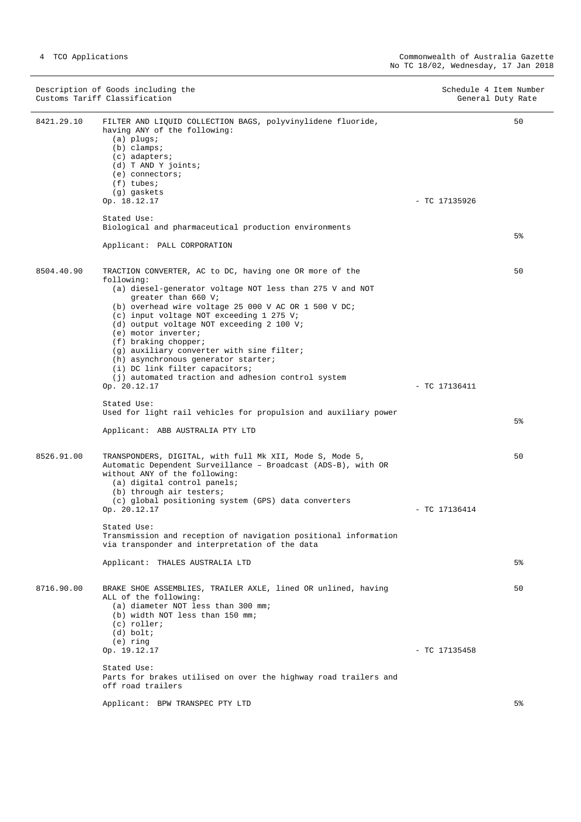|            | Description of Goods including the<br>Customs Tariff Classification                                                                                                                                                                                                                                                                                        | Schedule 4 Item Number<br>General Duty Rate |  |
|------------|------------------------------------------------------------------------------------------------------------------------------------------------------------------------------------------------------------------------------------------------------------------------------------------------------------------------------------------------------------|---------------------------------------------|--|
| 8421.29.10 | FILTER AND LIQUID COLLECTION BAGS, polyvinylidene fluoride,<br>having ANY of the following:<br>$(a)$ plugs;<br>$(b)$ clamps;<br>$(c)$ adapters;<br>(d) T AND Y joints;<br>$(e)$ connectors;<br>$(f)$ tubes;<br>(g) gaskets<br>Op. 18.12.17                                                                                                                 | 50<br>$-$ TC 17135926                       |  |
|            | Stated Use:                                                                                                                                                                                                                                                                                                                                                |                                             |  |
|            | Biological and pharmaceutical production environments                                                                                                                                                                                                                                                                                                      | 5%                                          |  |
|            | Applicant: PALL CORPORATION                                                                                                                                                                                                                                                                                                                                |                                             |  |
| 8504.40.90 | TRACTION CONVERTER, AC to DC, having one OR more of the<br>following:<br>(a) diesel-generator voltage NOT less than 275 V and NOT<br>greater than 660 V;<br>(b) overhead wire voltage 25 000 V AC OR 1 500 V DC;<br>(c) input voltage NOT exceeding 1 275 V;<br>(d) output voltage NOT exceeding 2 100 V;<br>(e) motor inverter;<br>$(f)$ braking chopper; | 50                                          |  |
|            | (g) auxiliary converter with sine filter;<br>(h) asynchronous generator starter;<br>(i) DC link filter capacitors;<br>(j) automated traction and adhesion control system<br>Op. 20.12.17                                                                                                                                                                   | $-$ TC 17136411                             |  |
|            | Stated Use:<br>Used for light rail vehicles for propulsion and auxiliary power                                                                                                                                                                                                                                                                             |                                             |  |
|            | Applicant: ABB AUSTRALIA PTY LTD                                                                                                                                                                                                                                                                                                                           | 5%                                          |  |
| 8526.91.00 | TRANSPONDERS, DIGITAL, with full Mk XII, Mode S, Mode 5,<br>Automatic Dependent Surveillance - Broadcast (ADS-B), with OR<br>without ANY of the following:<br>(a) digital control panels;<br>(b) through air testers;<br>(c) global positioning system (GPS) data converters<br>Op. 20.12.17                                                               | 50<br>$-$ TC 17136414                       |  |
|            | Stated Use:<br>Transmission and reception of navigation positional information<br>via transponder and interpretation of the data                                                                                                                                                                                                                           |                                             |  |
|            | Applicant: THALES AUSTRALIA LTD                                                                                                                                                                                                                                                                                                                            | 5%                                          |  |
| 8716.90.00 | BRAKE SHOE ASSEMBLIES, TRAILER AXLE, lined OR unlined, having<br>ALL of the following:<br>(a) diameter NOT less than 300 mm;<br>(b) width NOT less than 150 mm;<br>(c) roller;<br>$(d)$ bolt;<br>$(e)$ ring                                                                                                                                                | 50                                          |  |
|            | Op. 19.12.17                                                                                                                                                                                                                                                                                                                                               | - TC 17135458                               |  |
|            | Stated Use:<br>Parts for brakes utilised on over the highway road trailers and<br>off road trailers                                                                                                                                                                                                                                                        |                                             |  |
|            | Applicant: BPW TRANSPEC PTY LTD                                                                                                                                                                                                                                                                                                                            | 5%                                          |  |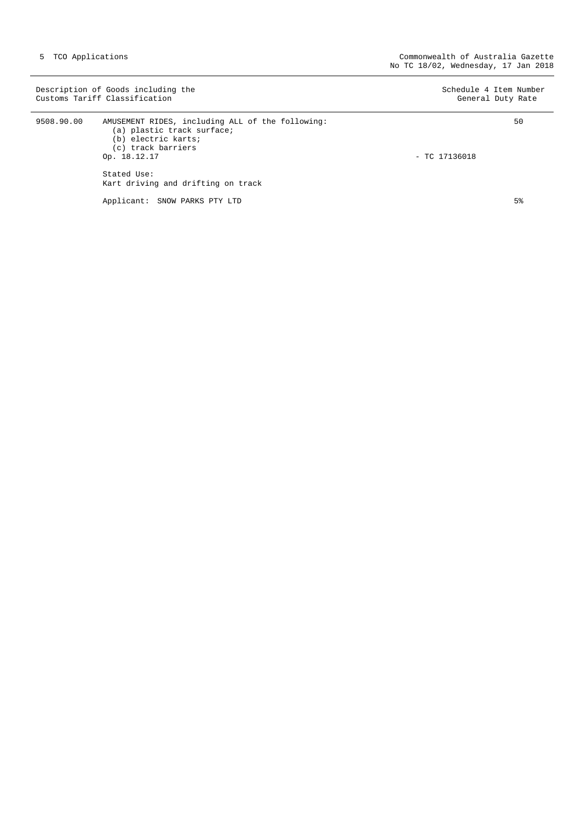|            | Description of Goods including the<br>Customs Tariff Classification                                                                                                                              | Schedule 4 Item Number<br>General Duty Rate |
|------------|--------------------------------------------------------------------------------------------------------------------------------------------------------------------------------------------------|---------------------------------------------|
| 9508.90.00 | AMUSEMENT RIDES, including ALL of the following:<br>(a) plastic track surface;<br>(b) electric karts;<br>(c) track barriers<br>Op. 18.12.17<br>Stated Use:<br>Kart driving and drifting on track | 50<br>$-$ TC 17136018                       |
|            | Applicant: SNOW PARKS PTY LTD                                                                                                                                                                    | $5\%$                                       |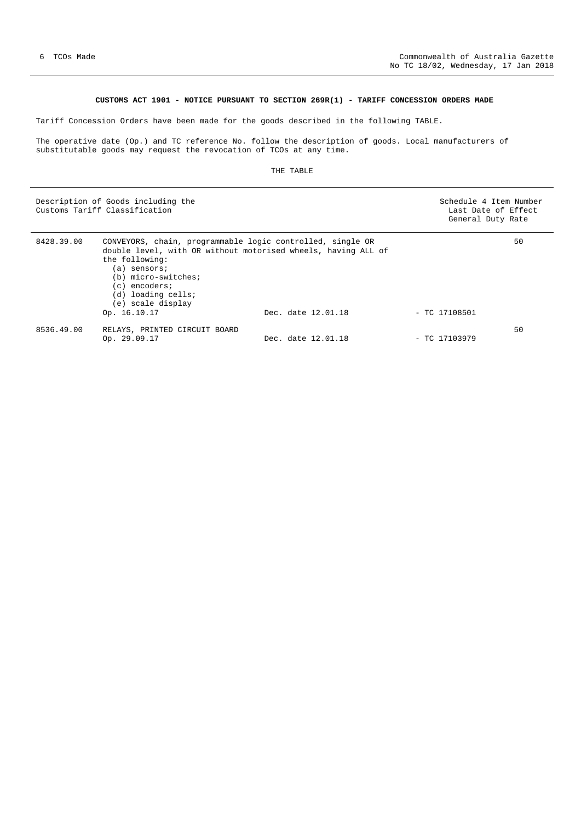# **CUSTOMS ACT 1901 - NOTICE PURSUANT TO SECTION 269R(1) - TARIFF CONCESSION ORDERS MADE**

Tariff Concession Orders have been made for the goods described in the following TABLE.

The operative date (Op.) and TC reference No. follow the description of goods. Local manufacturers of substitutable goods may request the revocation of TCOs at any time.

## THE TABLE

|            | Description of Goods including the<br>Customs Tariff Classification                                                                                                                                                                                              |                    | Schedule 4 Item Number<br>Last Date of Effect<br>General Duty Rate |    |
|------------|------------------------------------------------------------------------------------------------------------------------------------------------------------------------------------------------------------------------------------------------------------------|--------------------|--------------------------------------------------------------------|----|
| 8428.39.00 | CONVEYORS, chain, programmable logic controlled, single OR<br>double level, with OR without motorised wheels, having ALL of<br>the following:<br>(a) sensors;<br>(b) micro-switches;<br>(c) encoders;<br>(d) loading cells;<br>(e) scale display<br>Op. 16.10.17 | Dec. date 12.01.18 | $-$ TC 17108501                                                    | 50 |
| 8536.49.00 | RELAYS, PRINTED CIRCUIT BOARD<br>Op. 29.09.17                                                                                                                                                                                                                    | Dec. date 12.01.18 | $-$ TC 17103979                                                    | 50 |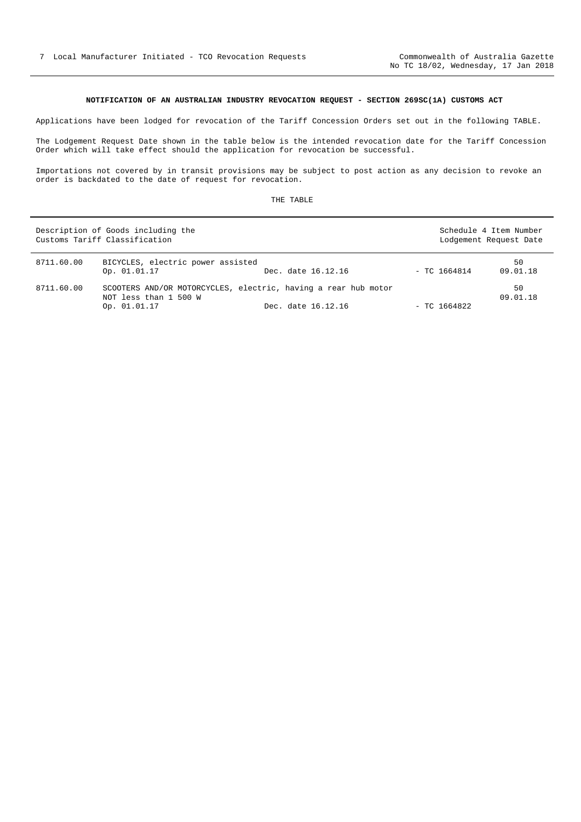# **NOTIFICATION OF AN AUSTRALIAN INDUSTRY REVOCATION REQUEST - SECTION 269SC(1A) CUSTOMS ACT**

Applications have been lodged for revocation of the Tariff Concession Orders set out in the following TABLE.

The Lodgement Request Date shown in the table below is the intended revocation date for the Tariff Concession Order which will take effect should the application for revocation be successful.

Importations not covered by in transit provisions may be subject to post action as any decision to revoke an order is backdated to the date of request for revocation.

|            | Description of Goods including the<br>Customs Tariff Classification                                     |                    | Schedule 4 Item Number<br>Lodgement Request Date |                |
|------------|---------------------------------------------------------------------------------------------------------|--------------------|--------------------------------------------------|----------------|
| 8711.60.00 | BICYCLES, electric power assisted<br>Op. 01.01.17                                                       | Dec. date 16.12.16 | $-$ TC 1664814                                   | 50<br>09.01.18 |
| 8711.60.00 | SCOOTERS AND/OR MOTORCYCLES, electric, having a rear hub motor<br>NOT less than 1 500 W<br>Op. 01.01.17 | Dec. date 16.12.16 | - TC 1664822                                     | 50<br>09.01.18 |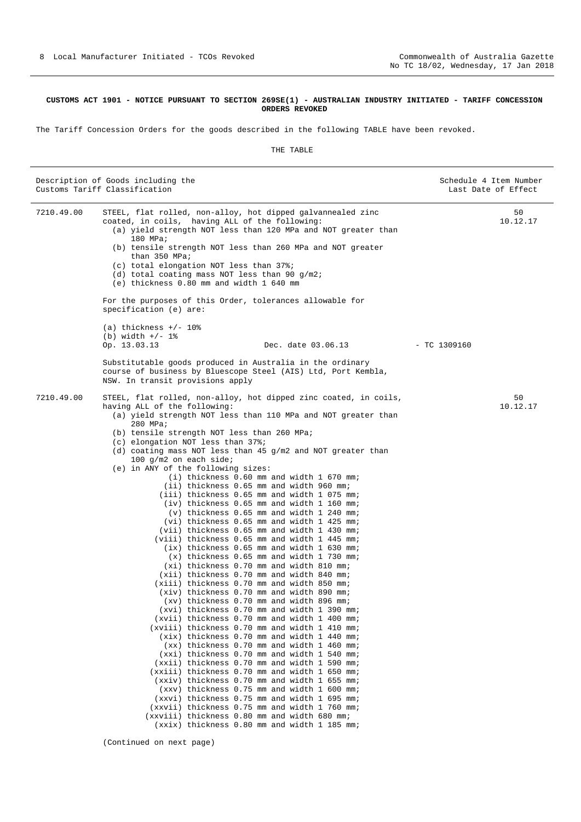## **CUSTOMS ACT 1901 - NOTICE PURSUANT TO SECTION 269SE(1) - AUSTRALIAN INDUSTRY INITIATED - TARIFF CONCESSION ORDERS REVOKED**

The Tariff Concession Orders for the goods described in the following TABLE have been revoked.

### THE TABLE

|            | Description of Goods including the<br>Customs Tariff Classification                                                                                                                                                                                                                                                                                                                                                                                                                                                                                                                                                                                                                                                                                                                                                                                                                                                                                                                                                                                                                                                                                                                                                                                                                                                                                                                                                                                                                                                                                                                                                                                                                                                                                                                                                      | Schedule 4 Item Number<br>Last Date of Effect |
|------------|--------------------------------------------------------------------------------------------------------------------------------------------------------------------------------------------------------------------------------------------------------------------------------------------------------------------------------------------------------------------------------------------------------------------------------------------------------------------------------------------------------------------------------------------------------------------------------------------------------------------------------------------------------------------------------------------------------------------------------------------------------------------------------------------------------------------------------------------------------------------------------------------------------------------------------------------------------------------------------------------------------------------------------------------------------------------------------------------------------------------------------------------------------------------------------------------------------------------------------------------------------------------------------------------------------------------------------------------------------------------------------------------------------------------------------------------------------------------------------------------------------------------------------------------------------------------------------------------------------------------------------------------------------------------------------------------------------------------------------------------------------------------------------------------------------------------------|-----------------------------------------------|
| 7210.49.00 | STEEL, flat rolled, non-alloy, hot dipped galvannealed zinc<br>coated, in coils, having ALL of the following:<br>(a) yield strength NOT less than 120 MPa and NOT greater than<br>180 MPa;<br>(b) tensile strength NOT less than 260 MPa and NOT greater<br>than 350 MPa;<br>(c) total elongation NOT less than 37%;<br>(d) total coating mass NOT less than 90 $q/m2$ ;<br>(e) thickness 0.80 mm and width 1 640 mm                                                                                                                                                                                                                                                                                                                                                                                                                                                                                                                                                                                                                                                                                                                                                                                                                                                                                                                                                                                                                                                                                                                                                                                                                                                                                                                                                                                                     | 50<br>10.12.17                                |
|            | For the purposes of this Order, tolerances allowable for<br>specification (e) are:                                                                                                                                                                                                                                                                                                                                                                                                                                                                                                                                                                                                                                                                                                                                                                                                                                                                                                                                                                                                                                                                                                                                                                                                                                                                                                                                                                                                                                                                                                                                                                                                                                                                                                                                       |                                               |
|            | (a) thickness $+/- 10\%$<br>(b) width $+/- 1$ %<br>Op. 13.03.13<br>Dec. date 03.06.13                                                                                                                                                                                                                                                                                                                                                                                                                                                                                                                                                                                                                                                                                                                                                                                                                                                                                                                                                                                                                                                                                                                                                                                                                                                                                                                                                                                                                                                                                                                                                                                                                                                                                                                                    | $-$ TC 1309160                                |
|            | Substitutable goods produced in Australia in the ordinary<br>course of business by Bluescope Steel (AIS) Ltd, Port Kembla,<br>NSW. In transit provisions apply                                                                                                                                                                                                                                                                                                                                                                                                                                                                                                                                                                                                                                                                                                                                                                                                                                                                                                                                                                                                                                                                                                                                                                                                                                                                                                                                                                                                                                                                                                                                                                                                                                                           |                                               |
| 7210.49.00 | STEEL, flat rolled, non-alloy, hot dipped zinc coated, in coils,<br>having ALL of the following:<br>(a) yield strength NOT less than 110 MPa and NOT greater than<br>280 MPa;<br>(b) tensile strength NOT less than 260 MPa;<br>(c) elongation NOT less than 37%;<br>(d) coating mass NOT less than 45 $g/m2$ and NOT greater than<br>100 $g/m2$ on each side;<br>(e) in ANY of the following sizes:<br>(i) thickness 0.60 mm and width 1 670 mm;<br>(ii) thickness 0.65 mm and width 960 mm;<br>(iii) thickness 0.65 mm and width 1 075 mm;<br>(iv) thickness 0.65 mm and width 1 160 mm;<br>(v) thickness 0.65 mm and width 1 240 mm;<br>$(vi)$ thickness 0.65 mm and width 1 425 mm;<br>(vii) thickness 0.65 mm and width 1 430 mm;<br>(viii) thickness 0.65 mm and width 1 445 mm;<br>$(ix)$ thickness $0.65$ mm and width 1 630 mm;<br>$(x)$ thickness $0.65$ mm and width 1 730 mm;<br>(xi) thickness 0.70 mm and width 810 mm;<br>(xii) thickness 0.70 mm and width 840 mm;<br>(xiii) thickness 0.70 mm and width 850 mm;<br>(xiv) thickness 0.70 mm and width 890 mm;<br>$(xv)$ thickness 0.70 mm and width 896 mm;<br>(xvi) thickness 0.70 mm and width 1 390 mm;<br>(xvii) thickness 0.70 mm and width 1 400 mm;<br>(xviii) thickness 0.70 mm and width 1 410 mm;<br>(xix) thickness 0.70 mm and width 1 440 mm;<br>(xx) thickness 0.70 mm and width 1 460 mm;<br>(xxi) thickness 0.70 mm and width 1 540 mm;<br>(xxii) thickness 0.70 mm and width 1 590 mm;<br>(xxiii) thickness 0.70 mm and width 1 650 mm;<br>(xxiv) thickness 0.70 mm and width 1 655 mm;<br>(xxv) thickness 0.75 mm and width 1 600 mm;<br>(xxvi) thickness 0.75 mm and width 1 695 mm;<br>(xxvii) thickness 0.75 mm and width 1 760 mm;<br>(xxviii) thickness 0.80 mm and width 680 mm;<br>(xxix) thickness 0.80 mm and width 1 185 mm; | 50<br>10.12.17                                |

(Continued on next page)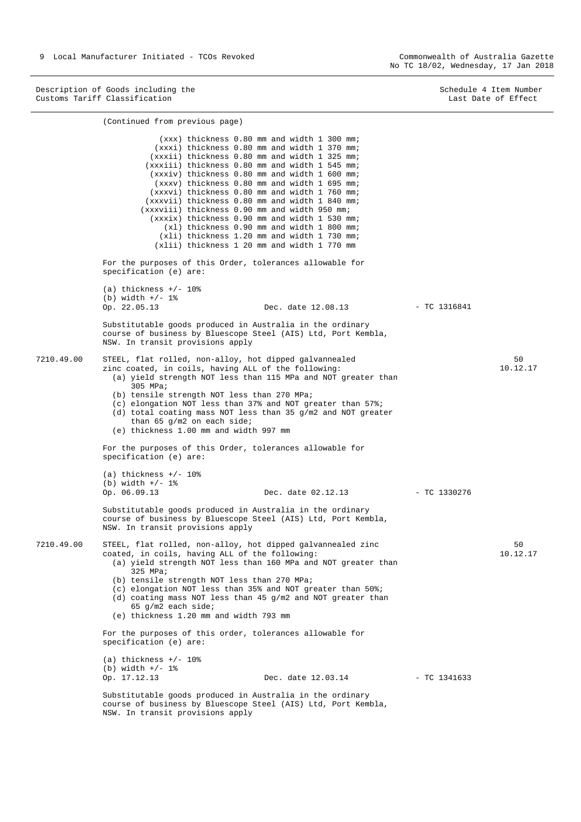(Continued from previous page)

No TC 18/02, Wednesday, 17 Jan 2018

Description of Goods including the Customs Tariff Classification

Schedule 4 Item Number Last Date of Effect

|            | (xxx) thickness 0.80 mm and width 1 300 mm;<br>(xxxi) thickness 0.80 mm and width 1 370 mm;<br>(xxxii) thickness 0.80 mm and width 1 325 mm;<br>(xxxiii) thickness 0.80 mm and width 1 545 mm;<br>(xxxiv) thickness 0.80 mm and width 1 600 mm;<br>(xxxv) thickness 0.80 mm and width 1 695 mm;<br>(xxxvi) thickness 0.80 mm and width 1 760 mm;<br>(xxxvii) thickness 0.80 mm and width 1 840 mm;<br>(xxxviii) thickness 0.90 mm and width 950 mm;<br>(xxxix) thickness 0.90 mm and width 1 530 mm;<br>(xl) thickness 0.90 mm and width 1 800 mm;<br>(xli) thickness 1.20 mm and width 1 730 mm;<br>(xlii) thickness 1 20 mm and width 1 770 mm |                    |                |                |
|------------|--------------------------------------------------------------------------------------------------------------------------------------------------------------------------------------------------------------------------------------------------------------------------------------------------------------------------------------------------------------------------------------------------------------------------------------------------------------------------------------------------------------------------------------------------------------------------------------------------------------------------------------------------|--------------------|----------------|----------------|
|            | For the purposes of this Order, tolerances allowable for<br>specification (e) are:                                                                                                                                                                                                                                                                                                                                                                                                                                                                                                                                                               |                    |                |                |
|            | (a) thickness $+/- 10$ %<br>(b) width $+/- 1$ %<br>Op. 22.05.13                                                                                                                                                                                                                                                                                                                                                                                                                                                                                                                                                                                  | Dec. date 12.08.13 | - TC 1316841   |                |
|            | Substitutable goods produced in Australia in the ordinary<br>course of business by Bluescope Steel (AIS) Ltd, Port Kembla,<br>NSW. In transit provisions apply                                                                                                                                                                                                                                                                                                                                                                                                                                                                                   |                    |                |                |
| 7210.49.00 | STEEL, flat rolled, non-alloy, hot dipped galvannealed<br>zinc coated, in coils, having ALL of the following:<br>(a) yield strength NOT less than 115 MPa and NOT greater than<br>305 MPa;<br>(b) tensile strength NOT less than 270 MPa;<br>(c) elongation NOT less than 37% and NOT greater than 57%;<br>(d) total coating mass NOT less than 35 $q/m2$ and NOT greater<br>than 65 $q/m2$ on each side;<br>(e) thickness 1.00 mm and width 997 mm                                                                                                                                                                                              |                    |                | 50<br>10.12.17 |
|            | For the purposes of this Order, tolerances allowable for<br>specification (e) are:                                                                                                                                                                                                                                                                                                                                                                                                                                                                                                                                                               |                    |                |                |
|            | (a) thickness $+/- 10$ %<br>(b) width $+/- 1$ %<br>Op. 06.09.13                                                                                                                                                                                                                                                                                                                                                                                                                                                                                                                                                                                  | Dec. date 02.12.13 | $-$ TC 1330276 |                |
|            | Substitutable goods produced in Australia in the ordinary<br>course of business by Bluescope Steel (AIS) Ltd, Port Kembla,<br>NSW. In transit provisions apply                                                                                                                                                                                                                                                                                                                                                                                                                                                                                   |                    |                |                |
| 7210.49.00 | STEEL, flat rolled, non-alloy, hot dipped galvannealed zinc<br>coated, in coils, having ALL of the following:<br>(a) yield strength NOT less than 160 MPa and NOT greater than<br>325 MPa;<br>(b) tensile strength NOT less than 270 MPa;<br>(c) elongation NOT less than 35% and NOT greater than $50\$ i<br>(d) coating mass NOT less than 45 g/m2 and NOT greater than<br>65 $q/m2$ each side;<br>(e) thickness 1.20 mm and width 793 mm                                                                                                                                                                                                      |                    |                | 50<br>10.12.17 |
|            | For the purposes of this order, tolerances allowable for<br>specification (e) are:                                                                                                                                                                                                                                                                                                                                                                                                                                                                                                                                                               |                    |                |                |
|            | (a) thickness $+/- 10\%$<br>(b) width $+/- 1$ %<br>Op. 17.12.13                                                                                                                                                                                                                                                                                                                                                                                                                                                                                                                                                                                  | Dec. date 12.03.14 | $-$ TC 1341633 |                |
|            | Substitutable goods produced in Australia in the ordinary<br>course of business by Bluescope Steel (AIS) Ltd, Port Kembla,<br>NSW. In transit provisions apply                                                                                                                                                                                                                                                                                                                                                                                                                                                                                   |                    |                |                |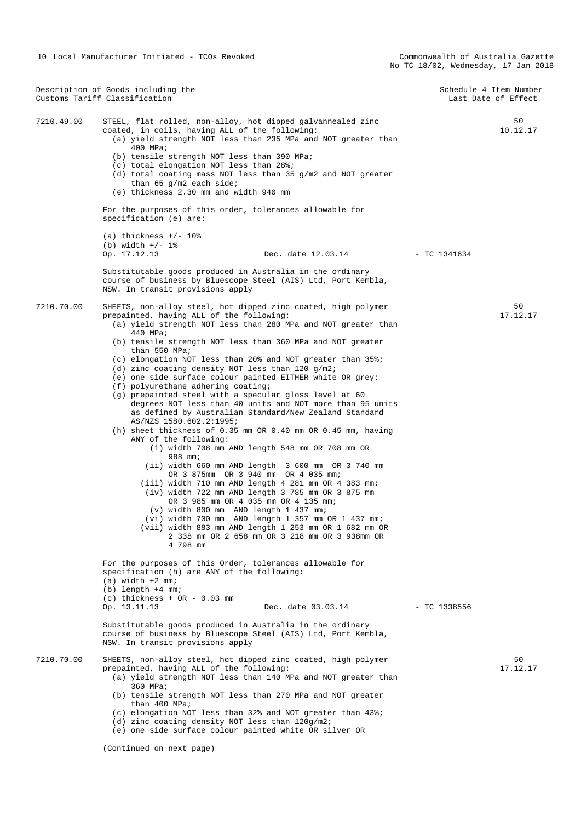| Description of Goods including the<br>Customs Tariff Classification |                                                                                                                                                                                                                                                                                                                                                                                                                                                                                                                                                                                                                                                                                                                                                                                                                                                                                                                                                                                                                                                                                                                                                                                                                                                                                                                                                | Schedule 4 Item Number<br>Last Date of Effect |                |
|---------------------------------------------------------------------|------------------------------------------------------------------------------------------------------------------------------------------------------------------------------------------------------------------------------------------------------------------------------------------------------------------------------------------------------------------------------------------------------------------------------------------------------------------------------------------------------------------------------------------------------------------------------------------------------------------------------------------------------------------------------------------------------------------------------------------------------------------------------------------------------------------------------------------------------------------------------------------------------------------------------------------------------------------------------------------------------------------------------------------------------------------------------------------------------------------------------------------------------------------------------------------------------------------------------------------------------------------------------------------------------------------------------------------------|-----------------------------------------------|----------------|
| 7210.49.00                                                          | STEEL, flat rolled, non-alloy, hot dipped galvannealed zinc<br>coated, in coils, having ALL of the following:<br>(a) yield strength NOT less than 235 MPa and NOT greater than<br>400 MPa;<br>(b) tensile strength NOT less than 390 MPa;<br>(c) total elongation NOT less than 28%;<br>(d) total coating mass NOT less than 35 g/m2 and NOT greater<br>than 65 $q/m2$ each side;<br>(e) thickness 2.30 mm and width 940 mm<br>For the purposes of this order, tolerances allowable for<br>specification (e) are:                                                                                                                                                                                                                                                                                                                                                                                                                                                                                                                                                                                                                                                                                                                                                                                                                              |                                               | 50<br>10.12.17 |
|                                                                     | (a) thickness $+/- 108$<br>(b) width $+/- 1$ %                                                                                                                                                                                                                                                                                                                                                                                                                                                                                                                                                                                                                                                                                                                                                                                                                                                                                                                                                                                                                                                                                                                                                                                                                                                                                                 |                                               |                |
|                                                                     | Op. 17.12.13<br>Dec. date 12.03.14<br>Substitutable goods produced in Australia in the ordinary<br>course of business by Bluescope Steel (AIS) Ltd, Port Kembla,<br>NSW. In transit provisions apply                                                                                                                                                                                                                                                                                                                                                                                                                                                                                                                                                                                                                                                                                                                                                                                                                                                                                                                                                                                                                                                                                                                                           | $-$ TC 1341634                                |                |
| 7210.70.00                                                          | SHEETS, non-alloy steel, hot dipped zinc coated, high polymer<br>prepainted, having ALL of the following:<br>(a) yield strength NOT less than 280 MPa and NOT greater than<br>440 MPa;<br>(b) tensile strength NOT less than 360 MPa and NOT greater<br>than 550 MPa;<br>(c) elongation NOT less than 20% and NOT greater than 35%;<br>(d) zinc coating density NOT less than $120 g/m2$ ;<br>(e) one side surface colour painted EITHER white OR grey;<br>(f) polyurethane adhering coating;<br>(g) prepainted steel with a specular gloss level at 60<br>degrees NOT less than 40 units and NOT more than 95 units<br>as defined by Australian Standard/New Zealand Standard<br>AS/NZS 1580.602.2:1995;<br>(h) sheet thickness of $0.35$ mm OR $0.40$ mm OR $0.45$ mm, having<br>ANY of the following:<br>(i) width 708 mm AND length 548 mm OR 708 mm OR<br>988 mm;<br>(ii) width 660 mm AND length 3 600 mm OR 3 740 mm<br>OR 3 875mm OR 3 940 mm OR 4 035 mm;<br>(iii) width 710 mm AND length 4 281 mm OR 4 383 mm;<br>$(iv)$ width 722 mm AND length 3 785 mm OR 3 875 mm<br>OR 3 985 mm OR 4 035 mm OR 4 135 mm;<br>(v) width 800 mm AND length 1 437 mm;<br>(vi) width 700 mm AND length 1 357 mm OR 1 437 mm;<br>(vii) width 883 mm AND length 1 253 mm OR 1 682 mm OR<br>2 338 mm OR 2 658 mm OR 3 218 mm OR 3 938mm OR<br>4 798 mm |                                               | 50<br>17.12.17 |
| 7210.70.00                                                          | For the purposes of this Order, tolerances allowable for<br>specification (h) are ANY of the following:<br>$(a)$ width $+2$ mm;<br>$(b)$ length $+4$ mm;<br>$(c)$ thickness + OR - 0.03 mm<br>Op. 13.11.13<br>Dec. date 03.03.14<br>Substitutable goods produced in Australia in the ordinary<br>course of business by Bluescope Steel (AIS) Ltd, Port Kembla,<br>NSW. In transit provisions apply<br>SHEETS, non-alloy steel, hot dipped zinc coated, high polymer<br>prepainted, having ALL of the following:<br>(a) yield strength NOT less than 140 MPa and NOT greater than<br>360 MPa;<br>(b) tensile strength NOT less than 270 MPa and NOT greater<br>than 400 MPa;<br>(c) elongation NOT less than 32% and NOT greater than 43%;<br>(d) zinc coating density NOT less than 120g/m2;<br>(e) one side surface colour painted white OR silver OR<br>(Continued on next page)                                                                                                                                                                                                                                                                                                                                                                                                                                                             | $-$ TC 1338556                                | 50<br>17.12.17 |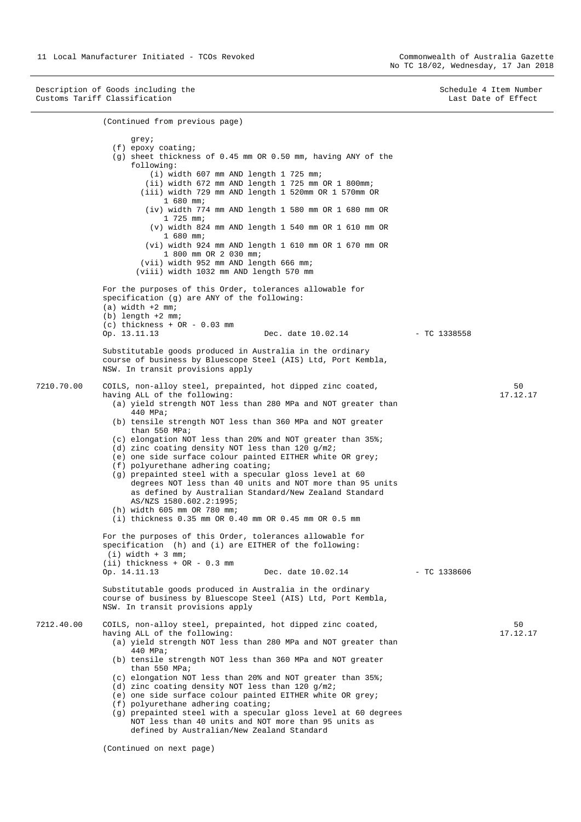Description of Goods including the Customs Tariff Classification

Schedule 4 Item Number Last Date of Effect

```
(Continued from previous page) 
                    grey;
                (f) epoxy coating;
                (g) sheet thickness of 0.45 mm OR 0.50 mm, having ANY of the
                    following:
                        (i) width 607 mm AND length 1 725 mm;
                       (ii) width 672 mm AND length 1 725 mm OR 1 800mm;
                      (iii) width 729 mm AND length 1 520mm OR 1 570mm OR
                           1 680 mm;
                       (iv) width 774 mm AND length 1 580 mm OR 1 680 mm OR
                           1 725 mm;
                        (v) width 824 mm AND length 1 540 mm OR 1 610 mm OR
                           1 680 mm;
                       (vi) width 924 mm AND length 1 610 mm OR 1 670 mm OR
                           1 800 mm OR 2 030 mm;
                      (vii) width 952 mm AND length 666 mm;
                     (viii) width 1032 mm AND length 570 mm
              For the purposes of this Order, tolerances allowable for
              specification (g) are ANY of the following:
              (a) width +2 mm;
              (b) length +2 mm;
              (c) thickness + OR - 0.03 mm Op. 13.11.13Dec. date 10.02.14
              Substitutable goods produced in Australia in the ordinary
              course of business by Bluescope Steel (AIS) Ltd, Port Kembla,
              NSW. In transit provisions apply 
7210.70.00 COILS, non-alloy steel, prepainted, hot dipped zinc coated,
              having ALL of the following:
                (a) yield strength NOT less than 280 MPa and NOT greater than
                    440 MPa;
                (b) tensile strength NOT less than 360 MPa and NOT greater
                    than 550 MPa;
                (c) elongation NOT less than 20% and NOT greater than 35%;
                (d) zinc coating density NOT less than 120 g/m2;
                (e) one side surface colour painted EITHER white OR grey;
                (f) polyurethane adhering coating;
                (g) prepainted steel with a specular gloss level at 60
                    degrees NOT less than 40 units and NOT more than 95 units
                    as defined by Australian Standard/New Zealand Standard
                    AS/NZS 1580.602.2:1995;
                (h) width 605 mm OR 780 mm;
                (i) thickness 0.35 mm OR 0.40 mm OR 0.45 mm OR 0.5 mm
              For the purposes of this Order, tolerances allowable for
              specification (h) and (i) are EITHER of the following:
               (i) width + 3 mm;
              (ii) thickness + OR - 0.3 mm Op. 14.11.13Dec. date 10.02.14
              Substitutable goods produced in Australia in the ordinary
              course of business by Bluescope Steel (AIS) Ltd, Port Kembla,
              NSW. In transit provisions apply 
7212.40.00 COILS, non-alloy steel, prepainted, hot dipped zinc coated,
              having ALL of the following:
                (a) yield strength NOT less than 280 MPa and NOT greater than
                    440 MPa;
                (b) tensile strength NOT less than 360 MPa and NOT greater
                    than 550 MPa;
                (c) elongation NOT less than 20% and NOT greater than 35%;
                (d) zinc coating density NOT less than 120 g/m2;
                (e) one side surface colour painted EITHER white OR grey;
                (f) polyurethane adhering coating;
                (g) prepainted steel with a specular gloss level at 60 degrees
                    NOT less than 40 units and NOT more than 95 units as 
                    defined by Australian/New Zealand Standard 
                                                                                  - TC 1338558
                                                                                                        50 
                                                                                                     17.12.17 
                                                                                  - TC 1338606
                                                                                                        50 
                                                                                                     17.12.17
```
(Continued on next page)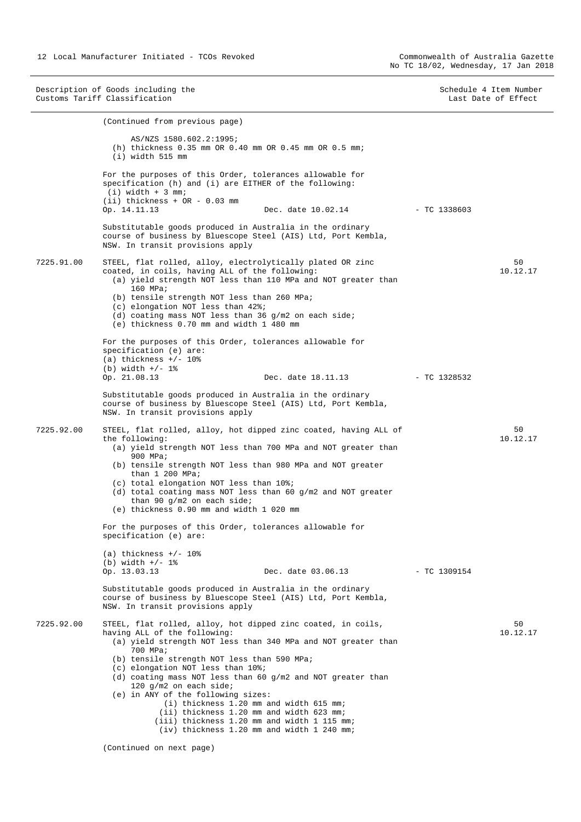Description of Goods including the Customs Tariff Classification Schedule 4 Item Number Last Date of Effect (Continued from previous page) AS/NZS 1580.602.2:1995; (h) thickness 0.35 mm OR 0.40 mm OR 0.45 mm OR 0.5 mm; (i) width 515 mm For the purposes of this Order, tolerances allowable for specification (h) and (i) are EITHER of the following:  $(i)$  width + 3 mm; (ii) thickness + OR - 0.03 mm Op. 14.11.13 Dec. date 10.02.14 Substitutable goods produced in Australia in the ordinary course of business by Bluescope Steel (AIS) Ltd, Port Kembla, NSW. In transit provisions apply 7225.91.00 STEEL, flat rolled, alloy, electrolytically plated OR zinc coated, in coils, having ALL of the following: (a) yield strength NOT less than 110 MPa and NOT greater than 160 MPa; (b) tensile strength NOT less than 260 MPa; (c) elongation NOT less than 42%; (d) coating mass NOT less than 36 g/m2 on each side; (e) thickness 0.70 mm and width 1 480 mm For the purposes of this Order, tolerances allowable for specification (e) are:  $(a)$  thickness  $+/-$  10% (b) width  $+/- 1$ %<br>Op. 21.08.13 Dec. date 18.11.13 Substitutable goods produced in Australia in the ordinary course of business by Bluescope Steel (AIS) Ltd, Port Kembla, NSW. In transit provisions apply 7225.92.00 STEEL, flat rolled, alloy, hot dipped zinc coated, having ALL of the following: (a) yield strength NOT less than 700 MPa and NOT greater than 900 MPa; (b) tensile strength NOT less than 980 MPa and NOT greater than  $1$  200 MPa; (c) total elongation NOT less than 10%; (d) total coating mass NOT less than 60 g/m2 and NOT greater than 90 g/m2 on each side; (e) thickness 0.90 mm and width 1 020 mm For the purposes of this Order, tolerances allowable for specification (e) are: (a) thickness  $+/- 10$ % (b) width  $+/-$  1% Op. 13.03.13 Dec. date 03.06.13 Substitutable goods produced in Australia in the ordinary course of business by Bluescope Steel (AIS) Ltd, Port Kembla, NSW. In transit provisions apply 7225.92.00 STEEL, flat rolled, alloy, hot dipped zinc coated, in coils, having ALL of the following: (a) yield strength NOT less than 340 MPa and NOT greater than 700 MPa; (b) tensile strength NOT less than 590 MPa; (c) elongation NOT less than 10%; (d) coating mass NOT less than 60 g/m2 and NOT greater than 120 g/m2 on each side; (e) in ANY of the following sizes: (i) thickness 1.20 mm and width 615 mm; (ii) thickness 1.20 mm and width 623 mm; (iii) thickness 1.20 mm and width 1 115 mm; (iv) thickness 1.20 mm and width 1 240 mm;  $-$  TC 1338603 50 10.12.17  $-$  TC 1328532 50 10.12.17 - TC 1309154 50 10.12.17

(Continued on next page)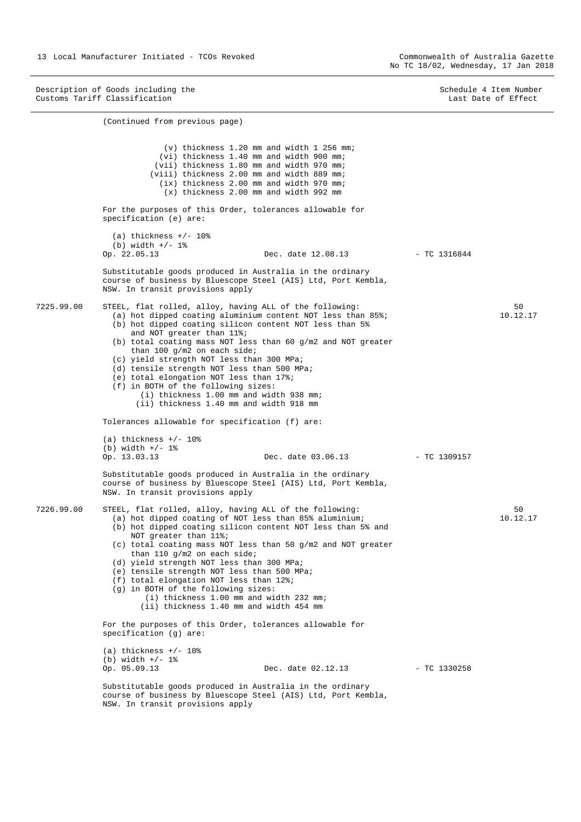(Continued from previous page)

Description of Goods including the Customs Tariff Classification

Schedule 4 Item Number Last Date of Effect

(v) thickness 1.20 mm and width 1 256 mm; (vi) thickness 1.40 mm and width 900 mm; (vii) thickness 1.80 mm and width 970 mm; (viii) thickness 2.00 mm and width 889 mm; (ix) thickness 2.00 mm and width 970 mm; (x) thickness 2.00 mm and width 992 mm For the purposes of this Order, tolerances allowable for specification (e) are:  $(a)$  thickness  $+/- 10$ % (b) width  $+/- 1$  %<br>Op. 22.05.13 Dec. date 12.08.13 Substitutable goods produced in Australia in the ordinary course of business by Bluescope Steel (AIS) Ltd, Port Kembla, NSW. In transit provisions apply 7225.99.00 STEEL, flat rolled, alloy, having ALL of the following: (a) hot dipped coating aluminium content NOT less than 85%; (b) hot dipped coating silicon content NOT less than 5% and NOT greater than 11%; (b) total coating mass NOT less than 60 g/m2 and NOT greater than 100 g/m2 on each side; (c) yield strength NOT less than 300 MPa; (d) tensile strength NOT less than 500 MPa; (e) total elongation NOT less than 17%; (f) in BOTH of the following sizes: (i) thickness 1.00 mm and width 938 mm; (ii) thickness 1.40 mm and width 918 mm Tolerances allowable for specification (f) are:  $(a)$  thickness  $+/$ - 10% (b) width  $+/- 1$ %<br>Op. 13.03.13 Dec. date 03.06.13 Substitutable goods produced in Australia in the ordinary course of business by Bluescope Steel (AIS) Ltd, Port Kembla, NSW. In transit provisions apply 7226.99.00 STEEL, flat rolled, alloy, having ALL of the following: (a) hot dipped coating of NOT less than 85% aluminium; (b) hot dipped coating silicon content NOT less than 5% and NOT greater than 11%; (c) total coating mass NOT less than 50 g/m2 and NOT greater than 110 g/m2 on each side; (d) yield strength NOT less than 300 MPa; (e) tensile strength NOT less than 500 MPa; (f) total elongation NOT less than 12%; (g) in BOTH of the following sizes: (i) thickness 1.00 mm and width 232 mm; (ii) thickness 1.40 mm and width 454 mm For the purposes of this Order, tolerances allowable for specification (g) are:  $(a)$  thickness  $+/- 10$ % (b) width  $+/- 1\%$ <br>Op. 05.09.13 Dec. date 02.12.13 Substitutable goods produced in Australia in the ordinary course of business by Bluescope Steel (AIS) Ltd, Port Kembla, NSW. In transit provisions apply  $-$  TC 1316844 50 10.12.17 - TC 1309157 50 10.12.17  $-$  TC 1330258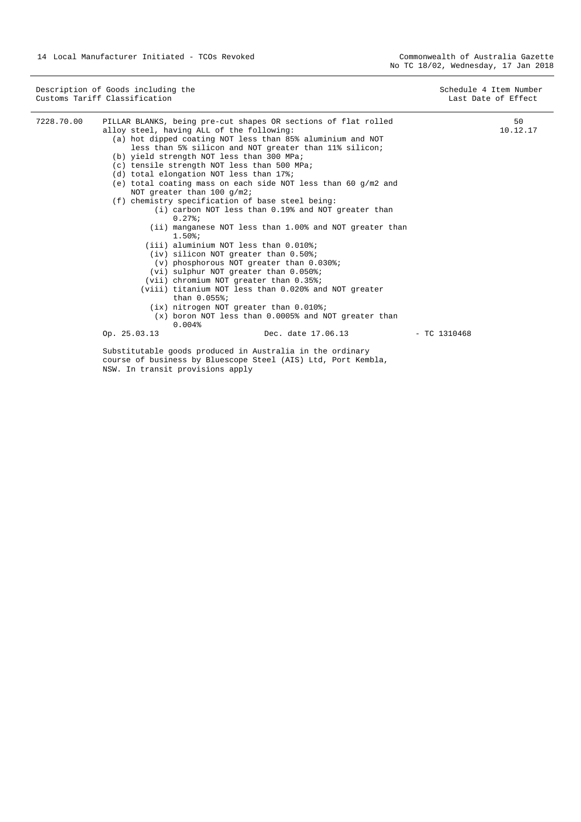|            | Description of Goods including the<br>Customs Tariff Classification                                                                                                                                                                                                                                                                                                                                                                                                                                                                                                                                                                                                                                                                                                                                                                                                                                                                                                                                                                                                                                                              | Schedule 4 Item Number<br>Last Date of Effect |
|------------|----------------------------------------------------------------------------------------------------------------------------------------------------------------------------------------------------------------------------------------------------------------------------------------------------------------------------------------------------------------------------------------------------------------------------------------------------------------------------------------------------------------------------------------------------------------------------------------------------------------------------------------------------------------------------------------------------------------------------------------------------------------------------------------------------------------------------------------------------------------------------------------------------------------------------------------------------------------------------------------------------------------------------------------------------------------------------------------------------------------------------------|-----------------------------------------------|
| 7228.70.00 | PILLAR BLANKS, being pre-cut shapes OR sections of flat rolled<br>alloy steel, having ALL of the following:<br>(a) hot dipped coating NOT less than 85% aluminium and NOT<br>less than 5% silicon and NOT greater than 11% silicon;<br>(b) yield strength NOT less than 300 MPa;<br>(c) tensile strength NOT less than 500 MPa;<br>(d) total elongation NOT less than 17%;<br>(e) total coating mass on each side NOT less than 60 $q/m2$ and<br>NOT greater than $100$ g/m2;<br>(f) chemistry specification of base steel being:<br>(i) carbon NOT less than 0.19% and NOT greater than<br>$0.27$ $i$<br>(ii) manganese NOT less than 1.00% and NOT greater than<br>$1.50$ $i$<br>(iii) aluminium NOT less than 0.010%;<br>$(iv)$ silicon NOT greater than $0.50$ ?;<br>(v) phosphorous NOT greater than 0.030%;<br>(vi) sulphur NOT greater than 0.050%;<br>(vii) chromium NOT greater than 0.35%;<br>(viii) titanium NOT less than 0.020% and NOT greater<br>than $0.055$ ;<br>(ix) nitrogen NOT greater than 0.010%;<br>(x) boron NOT less than 0.0005% and NOT greater than<br>0.004%<br>Op. 25.03.13<br>Dec. date 17.06.13 | 50<br>10.12.17<br>$-$ TC 1310468              |
|            | Substitutable goods produced in Australia in the ordinary<br>course of business by Bluescope Steel (AIS) Ltd, Port Kembla,                                                                                                                                                                                                                                                                                                                                                                                                                                                                                                                                                                                                                                                                                                                                                                                                                                                                                                                                                                                                       |                                               |

NSW. In transit provisions apply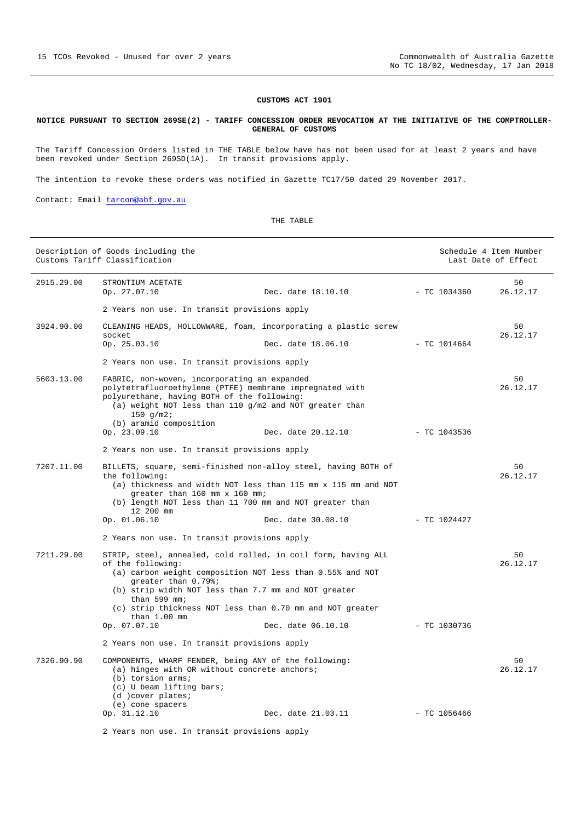# **CUSTOMS ACT 1901**

## **NOTICE PURSUANT TO SECTION 269SE(2) - TARIFF CONCESSION ORDER REVOCATION AT THE INITIATIVE OF THE COMPTROLLER-GENERAL OF CUSTOMS**

The Tariff Concession Orders listed in THE TABLE below have has not been used for at least 2 years and have been revoked under Section 269SD(1A). In transit provisions apply.

The intention to revoke these orders was notified in Gazette TC17/50 dated 29 November 2017.

Contact: Email tarcon@abf.gov.au

THE TABLE

|            | Description of Goods including the<br>Customs Tariff Classification                                                                                                                                                                                          |                                     | Schedule 4 Item Number<br>Last Date of Effect |                |
|------------|--------------------------------------------------------------------------------------------------------------------------------------------------------------------------------------------------------------------------------------------------------------|-------------------------------------|-----------------------------------------------|----------------|
| 2915.29.00 | STRONTIUM ACETATE<br>Op. 27.07.10                                                                                                                                                                                                                            | Dec. date 18.10.10<br>$-TC$ 1034360 |                                               | 50<br>26.12.17 |
|            | 2 Years non use. In transit provisions apply                                                                                                                                                                                                                 |                                     |                                               |                |
| 3924.90.00 | CLEANING HEADS, HOLLOWNARE, foam, incorporating a plastic screw<br>socket<br>Op. 25.03.10                                                                                                                                                                    | Dec. date 18.06.10                  | $-$ TC 1014664                                | 50<br>26.12.17 |
|            | 2 Years non use. In transit provisions apply                                                                                                                                                                                                                 |                                     |                                               |                |
| 5603.13.00 | FABRIC, non-woven, incorporating an expanded<br>polytetrafluoroethylene (PTFE) membrane impregnated with<br>polyurethane, having BOTH of the following:<br>(a) weight NOT less than 110 $q/m2$ and NOT greater than<br>150 $q/m2i$<br>(b) aramid composition |                                     |                                               | 50<br>26.12.17 |
|            | Op. 23.09.10                                                                                                                                                                                                                                                 | Dec. date 20.12.10                  | $-$ TC 1043536                                |                |
|            | 2 Years non use. In transit provisions apply                                                                                                                                                                                                                 |                                     |                                               |                |
| 7207.11.00 | BILLETS, square, semi-finished non-alloy steel, having BOTH of<br>the following:<br>(a) thickness and width NOT less than 115 mm x 115 mm and NOT<br>greater than 160 mm x 160 mm;<br>(b) length NOT less than 11 700 mm and NOT greater than<br>12 200 mm   |                                     |                                               | 50<br>26.12.17 |
|            | Op. 01.06.10                                                                                                                                                                                                                                                 | Dec. date 30.08.10                  | $-$ TC 1024427                                |                |
|            | 2 Years non use. In transit provisions apply                                                                                                                                                                                                                 |                                     |                                               |                |
| 7211.29.00 | STRIP, steel, annealed, cold rolled, in coil form, having ALL<br>of the following:<br>(a) carbon weight composition NOT less than 0.55% and NOT<br>greater than 0.79%;<br>(b) strip width NOT less than 7.7 mm and NOT greater<br>than 599 mm;               |                                     |                                               | 50<br>26.12.17 |
|            | (c) strip thickness NOT less than 0.70 mm and NOT greater<br>than $1.00$ mm                                                                                                                                                                                  |                                     |                                               |                |
|            | Op. 07.07.10                                                                                                                                                                                                                                                 | Dec. date 06.10.10                  | $-$ TC 1030736                                |                |
|            | 2 Years non use. In transit provisions apply                                                                                                                                                                                                                 |                                     |                                               |                |
| 7326.90.90 | COMPONENTS, WHARF FENDER, being ANY of the following:<br>(a) hinges with OR without concrete anchors;<br>$(b)$ torsion arms;<br>(c) U beam lifting bars;<br>(d) cover plates;<br>(e) cone spacers                                                            |                                     |                                               | 50<br>26.12.17 |
|            | Op. 31.12.10                                                                                                                                                                                                                                                 | Dec. date 21.03.11                  | $-$ TC 1056466                                |                |
|            | 2 Years non use. In transit provisions apply                                                                                                                                                                                                                 |                                     |                                               |                |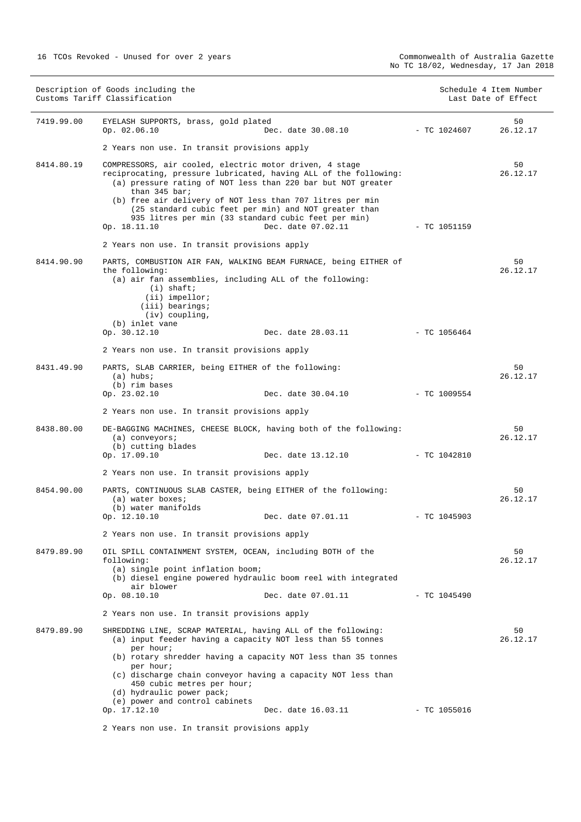| Description of Goods including the<br>Customs Tariff Classification |                                                                                                                                                                                                                                                                                                                                                                                                           |                    | Schedule 4 Item Number<br>Last Date of Effect |                |
|---------------------------------------------------------------------|-----------------------------------------------------------------------------------------------------------------------------------------------------------------------------------------------------------------------------------------------------------------------------------------------------------------------------------------------------------------------------------------------------------|--------------------|-----------------------------------------------|----------------|
| 7419.99.00                                                          | EYELASH SUPPORTS, brass, gold plated<br>Op. 02.06.10                                                                                                                                                                                                                                                                                                                                                      | Dec. date 30.08.10 | - TC 1024607                                  | 50<br>26.12.17 |
|                                                                     | 2 Years non use. In transit provisions apply                                                                                                                                                                                                                                                                                                                                                              |                    |                                               |                |
| 8414.80.19                                                          | COMPRESSORS, air cooled, electric motor driven, 4 stage<br>reciprocating, pressure lubricated, having ALL of the following:<br>(a) pressure rating of NOT less than 220 bar but NOT greater<br>than 345 bar;<br>(b) free air delivery of NOT less than 707 litres per min<br>(25 standard cubic feet per min) and NOT greater than<br>935 litres per min (33 standard cubic feet per min)<br>Op. 18.11.10 | Dec. date 07.02.11 | $-$ TC 1051159                                | 50<br>26.12.17 |
|                                                                     | 2 Years non use. In transit provisions apply                                                                                                                                                                                                                                                                                                                                                              |                    |                                               |                |
| 8414.90.90                                                          | PARTS, COMBUSTION AIR FAN, WALKING BEAM FURNACE, being EITHER of<br>the following:<br>(a) air fan assemblies, including ALL of the following:<br>$(i)$ shaft;<br>$(ii)$ impellor;                                                                                                                                                                                                                         |                    |                                               | 50<br>26.12.17 |
|                                                                     | (iii) bearings;<br>$(iv)$ coupling,                                                                                                                                                                                                                                                                                                                                                                       |                    |                                               |                |
|                                                                     | (b) inlet vane<br>Op. 30.12.10                                                                                                                                                                                                                                                                                                                                                                            | Dec. date 28.03.11 | $-$ TC 1056464                                |                |
|                                                                     | 2 Years non use. In transit provisions apply                                                                                                                                                                                                                                                                                                                                                              |                    |                                               |                |
| 8431.49.90                                                          | PARTS, SLAB CARRIER, being EITHER of the following:<br>$(a)$ hubs;<br>(b) rim bases                                                                                                                                                                                                                                                                                                                       |                    |                                               | 50<br>26.12.17 |
|                                                                     | Op. 23.02.10                                                                                                                                                                                                                                                                                                                                                                                              | Dec. date 30.04.10 | - TC 1009554                                  |                |
|                                                                     | 2 Years non use. In transit provisions apply                                                                                                                                                                                                                                                                                                                                                              |                    |                                               |                |
| 8438.80.00                                                          | DE-BAGGING MACHINES, CHEESE BLOCK, having both of the following:<br>$(a)$ conveyors;<br>(b) cutting blades                                                                                                                                                                                                                                                                                                |                    |                                               | 50<br>26.12.17 |
|                                                                     | Op. 17.09.10                                                                                                                                                                                                                                                                                                                                                                                              | Dec. date 13.12.10 | $-$ TC 1042810                                |                |
|                                                                     | 2 Years non use. In transit provisions apply                                                                                                                                                                                                                                                                                                                                                              |                    |                                               |                |
| 8454.90.00                                                          | PARTS, CONTINUOUS SLAB CASTER, being EITHER of the following:<br>(a) water boxes;<br>(b) water manifolds                                                                                                                                                                                                                                                                                                  |                    |                                               | 50<br>26.12.17 |
|                                                                     | Op. 12.10.10                                                                                                                                                                                                                                                                                                                                                                                              | Dec. date 07.01.11 | $-$ TC 1045903                                |                |
|                                                                     | 2 Years non use. In transit provisions apply                                                                                                                                                                                                                                                                                                                                                              |                    |                                               |                |
| 8479.89.90                                                          | OIL SPILL CONTAINMENT SYSTEM, OCEAN, including BOTH of the<br>following:<br>(a) single point inflation boom;<br>(b) diesel engine powered hydraulic boom reel with integrated<br>air blower                                                                                                                                                                                                               |                    |                                               | 50<br>26.12.17 |
|                                                                     | Op. 08.10.10                                                                                                                                                                                                                                                                                                                                                                                              | Dec. date 07.01.11 | $-$ TC 1045490                                |                |
|                                                                     | 2 Years non use. In transit provisions apply                                                                                                                                                                                                                                                                                                                                                              |                    |                                               |                |
| 8479.89.90                                                          | SHREDDING LINE, SCRAP MATERIAL, having ALL of the following:<br>(a) input feeder having a capacity NOT less than 55 tonnes                                                                                                                                                                                                                                                                                |                    |                                               | 50<br>26.12.17 |
|                                                                     | per hour;<br>(b) rotary shredder having a capacity NOT less than 35 tonnes<br>per hour;<br>(c) discharge chain conveyor having a capacity NOT less than<br>450 cubic metres per hour;<br>(d) hydraulic power pack;                                                                                                                                                                                        |                    |                                               |                |
|                                                                     | (e) power and control cabinets<br>Op. 17.12.10                                                                                                                                                                                                                                                                                                                                                            | Dec. date 16.03.11 | - TC 1055016                                  |                |
|                                                                     | 2 Years non use. In transit provisions apply                                                                                                                                                                                                                                                                                                                                                              |                    |                                               |                |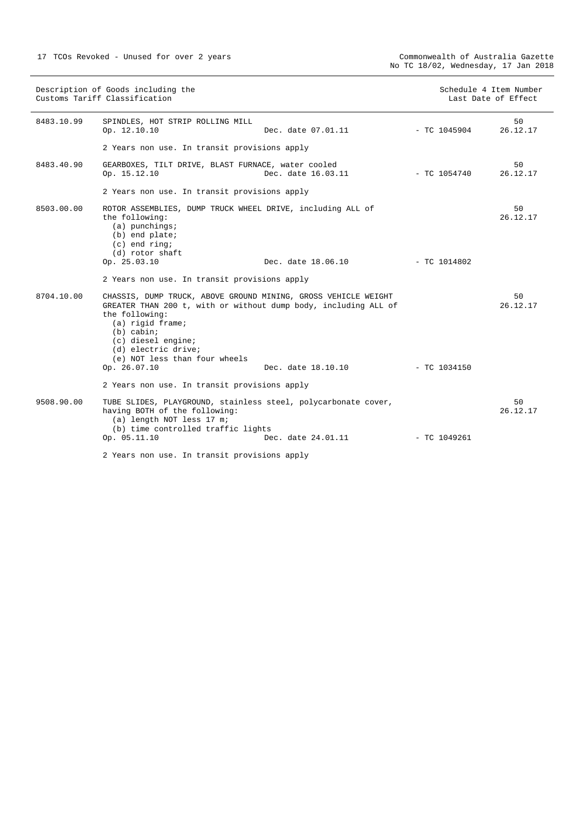|            | Description of Goods including the<br>Customs Tariff Classification                                                                                                                                                                                                   |                    |                | Schedule 4 Item Number<br>Last Date of Effect |
|------------|-----------------------------------------------------------------------------------------------------------------------------------------------------------------------------------------------------------------------------------------------------------------------|--------------------|----------------|-----------------------------------------------|
| 8483.10.99 | SPINDLES, HOT STRIP ROLLING MILL<br>Op. 12.10.10                                                                                                                                                                                                                      | Dec. date 07.01.11 | - TC 1045904   | 50<br>26.12.17                                |
|            | 2 Years non use. In transit provisions apply                                                                                                                                                                                                                          |                    |                |                                               |
| 8483.40.90 | GEARBOXES, TILT DRIVE, BLAST FURNACE, water cooled<br>Op. 15.12.10                                                                                                                                                                                                    | Dec. date 16.03.11 | - TC 1054740   | 50<br>26.12.17                                |
|            | 2 Years non use. In transit provisions apply                                                                                                                                                                                                                          |                    |                |                                               |
| 8503.00.00 | ROTOR ASSEMBLIES, DUMP TRUCK WHEEL DRIVE, including ALL of<br>the following:<br>$(a)$ punchings;<br>(b) end plate;<br>$(c)$ end ring;<br>(d) rotor shaft                                                                                                              |                    |                | 50<br>26.12.17                                |
|            | Op. 25.03.10                                                                                                                                                                                                                                                          | Dec. date 18.06.10 | $-$ TC 1014802 |                                               |
|            | 2 Years non use. In transit provisions apply                                                                                                                                                                                                                          |                    |                |                                               |
| 8704.10.00 | CHASSIS, DUMP TRUCK, ABOVE GROUND MINING, GROSS VEHICLE WEIGHT<br>GREATER THAN 200 t, with or without dump body, including ALL of<br>the following:<br>(a) rigid frame;<br>$(b)$ cabin;<br>(c) diesel engine;<br>(d) electric drive;<br>(e) NOT less than four wheels |                    |                | 50<br>26.12.17                                |
|            | Op. 26.07.10                                                                                                                                                                                                                                                          | Dec. date 18.10.10 | $-$ TC 1034150 |                                               |
|            | 2 Years non use. In transit provisions apply                                                                                                                                                                                                                          |                    |                |                                               |
| 9508.90.00 | TUBE SLIDES, PLAYGROUND, stainless steel, polycarbonate cover,<br>having BOTH of the following:<br>(a) length NOT less 17 m;<br>(b) time controlled traffic lights                                                                                                    |                    |                | 50<br>26.12.17                                |
|            | Op. 05.11.10                                                                                                                                                                                                                                                          | Dec. date 24.01.11 | $-$ TC 1049261 |                                               |
|            | 2 Years non use. In transit provisions apply                                                                                                                                                                                                                          |                    |                |                                               |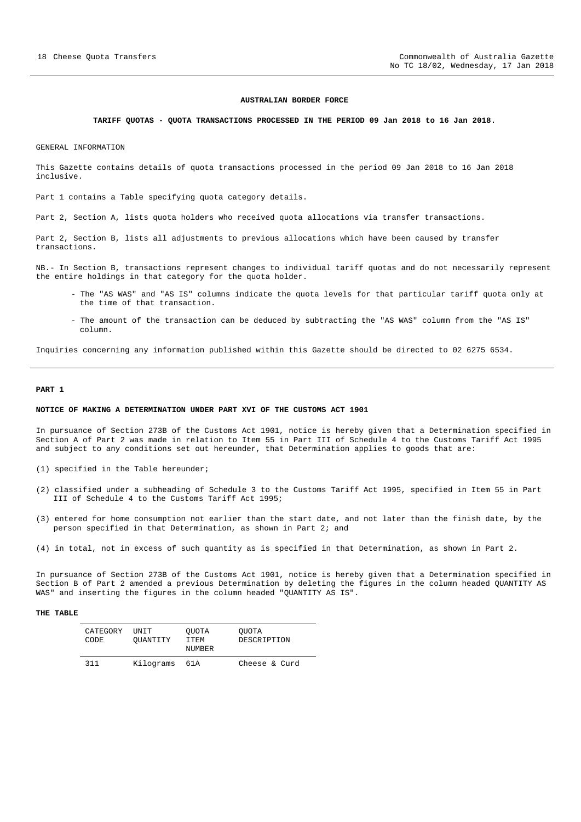#### **AUSTRALIAN BORDER FORCE**

#### **TARIFF QUOTAS - QUOTA TRANSACTIONS PROCESSED IN THE PERIOD 09 Jan 2018 to 16 Jan 2018.**

GENERAL INFORMATION

This Gazette contains details of quota transactions processed in the period 09 Jan 2018 to 16 Jan 2018 inclusive.

Part 1 contains a Table specifying quota category details.

Part 2, Section A, lists quota holders who received quota allocations via transfer transactions.

Part 2, Section B, lists all adjustments to previous allocations which have been caused by transfer transactions.

NB.- In Section B, transactions represent changes to individual tariff quotas and do not necessarily represent the entire holdings in that category for the quota holder.

- The "AS WAS" and "AS IS" columns indicate the quota levels for that particular tariff quota only at the time of that transaction.
- The amount of the transaction can be deduced by subtracting the "AS WAS" column from the "AS IS" column.

Inquiries concerning any information published within this Gazette should be directed to 02 6275 6534.

#### **PART 1**

## **NOTICE OF MAKING A DETERMINATION UNDER PART XVI OF THE CUSTOMS ACT 1901**

In pursuance of Section 273B of the Customs Act 1901, notice is hereby given that a Determination specified in Section A of Part 2 was made in relation to Item 55 in Part III of Schedule 4 to the Customs Tariff Act 1995 and subject to any conditions set out hereunder, that Determination applies to goods that are:

- (1) specified in the Table hereunder;
- (2) classified under a subheading of Schedule 3 to the Customs Tariff Act 1995, specified in Item 55 in Part III of Schedule 4 to the Customs Tariff Act 1995;
- (3) entered for home consumption not earlier than the start date, and not later than the finish date, by the person specified in that Determination, as shown in Part 2; and
- (4) in total, not in excess of such quantity as is specified in that Determination, as shown in Part 2.

In pursuance of Section 273B of the Customs Act 1901, notice is hereby given that a Determination specified in Section B of Part 2 amended a previous Determination by deleting the figures in the column headed QUANTITY AS WAS" and inserting the figures in the column headed "QUANTITY AS IS".

#### **THE TABLE**

| CATEGORY<br>CODE. | TIN T.T<br>OUANTITY | OUOTA<br>TTEM<br><b>NUMBER</b> | OUOTA<br>DESCRIPTION |
|-------------------|---------------------|--------------------------------|----------------------|
| 311               | Kilograms           | 61 A                           | Cheese & Curd        |